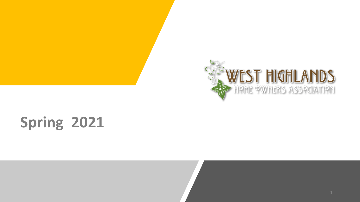

# **Spring 2021**

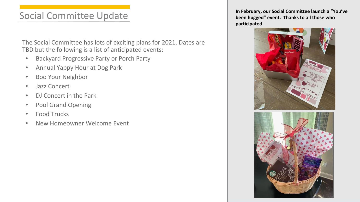# Social Committee Update

The Social Committee has lots of exciting plans for 2021. Dates are TBD but the following is a list of anticipated events:

- Backyard Progressive Party or Porch Party
- Annual Yappy Hour at Dog Park
- Boo Your Neighbor
- Jazz Concert
- DJ Concert in the Park
- Pool Grand Opening
- Food Trucks
- New Homeowner Welcome Event

**In February, our Social Committee launch a "You've been hugged" event. Thanks to all those who participated**.

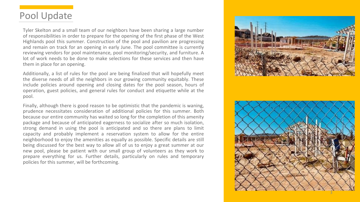### Pool Update

Tyler Skelton and a small team of our neighbors have been sharing a large number of responsibilities in order to prepare for the opening of the first phase of the West Highlands pool this summer . Construction of the pool and pavilion are progressing and remain on track for an opening in early June . The pool committee is currently reviewing vendors for pool maintenance, pool monitoring/security, and furniture . A lot of work needs to be done to make selections for these services and then have them in place for an opening .

Additionally, a list of rules for the pool are being finalized tha t will hopefully meet the diverse needs of all the neighbors in our growing community equitably . These include policies around opening and closing dates for the pool season, hours of operation, guest policies, and general rules for conduct and etiquette while at the pool .

Finally, although there is good reason to be optimistic that the pandemic is waning, prudence necessitates consideration of additional policies for this summer . Both because our entire community has waited so long for the completion of this amenity package and because of anticipated eagerness to socialize after so much isolation, strong demand in using the pool is anticipated and so there are plans to limit capacity and probably implement a reservation system to allow for the entire neighborhood to enjoy the amenities as equally as possible . Specific details are still being discussed for the best way to allow all of us to enjoy a great summer at our new pool, please be patient with our small group of volunteers as they work to prepare everything for us. Further details, particularly on rules and temporary policies for this summer, will be forthcoming .

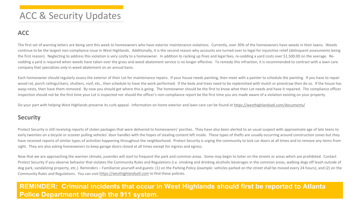# ACC & Security Updates

### **ACC**

The first set of warning letters are being sent this week to homeowners who have exterior maintenance violations. Currently, over 30% of the homeowners have weeds in their lawns. Weeds continue to be the largest non-compliance issue in West Highlands. Additionally, it is the second reason why accounts are turned over to legal for injunctive relief (delinquent assessments being the first reason). Neglecting to address this violation is very costly to a homeowner. In addition to racking up fines and legal fees, re-sodding a yard costs over \$1,500.00 on the average. Resodding a yard is required when weeds have taken over the grass and weed abatement service is no longer effective. To remedy this infraction, it is recommended to contract with a lawn care company that specializes *only* in weed abatement on an annual basis.

Each homeowner should regularly assess the exterior of their Lot for maintenance repairs. If your house needs painting, then meet with a painter to schedule the painting. If you have to repair wood rot, porch railings/stairs, shutters, roof, etc., then schedule to have the work performed. If the beds and trees need to be replenished with mulch or pinestraw then do so. If the house has wasp nests, then have them removed. By now you should get where this is going. The homeowner should be the first to know what their Lot needs and have it repaired. The compliance officer inspection should not be the first time your Lot is inspected nor should the officer's non-compliance report be the first time you are made aware of a violation existing on your property.

Do your part with helping West Highlands preserve its curb appeal. Information on home exterior and lawn care can be found at <https://westhighlandsatl.com/documents/>

### **Security**

Protect Security is still receiving reports of stolen packages that were delivered to homeowners' porches. They have also been alerted to an usual suspect with approximate age of late teens to early twenties on a bicycle or scooter pulling vehicles' door handles with the hopes of stealing content left inside. These types of thefts are usually occurring around construction zones but they have received reports of similar types of activities happening throughout the neighborhood. Protect Security is urging the community to lock car doors at all times and to remove any items from sight. They are also asking homeowners to keep garage doors closed at all times except for ingress and egress.

Now that we are approaching the warmer climate, juveniles will start to frequent the park and common areas. Some may begin to loiter on the streets or areas which are prohibited. Contact Protect Security if you observe behavior that violates the Community Rules and Regulations (i.e. smoking and drinking alcoholic beverages in the common areas, walking dogs off leash outside of dog park, vandalizing property, etc.). Reminders – Familiarize yourself and guests: (1) on the Parking Policy (example: vehicles parked on the street shall be moved every 24 hours); and (2) on the Community Rules and Regulations. You can visit <https://westhighlandsatl.com> to find these policies.

### **REMINDER: Criminal incidents that occur in West Highlands should first be reported to Atlanta Police Department through the 911 system.**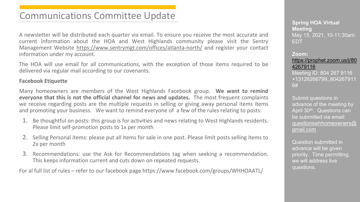# Communications Committee Update

A newsletter will be distributed each quarter via email. To ensure you receive the most accurate and current information about the HOA and West Highlands community please visit the Sentry Management Website <https://www.sentrymgt.com/offices/atlanta-north/> and register your contact information under my account.

The HOA will use email for all communications, with the exception of those items required to be delivered via regular mail according to our covenants.

### **Facebook Etiquette**

Many homeowners are members of the West Highlands Facebook group. **We want to remind everyone that this is not the official channel for news and updates.** The most frequent complaints we receive regarding posts are the multiple requests in selling or giving away personal items items and promoting your business. We want to remind everyone of a few of the rules relating to posts:

- 1. Be thoughtful on posts: this group is for activities and news relating to West Highlands residents. Please limit self-promotion posts to 1x per month
- 2. Selling Personal items: please put all items for sale in one post. Please limit posts selling items to 2x per month
- 3. Recommendations: use the Ask for Recommendations tag when seeking a recommendation. This keeps information current and cuts down on repeated requests.

For al full list of rules – refer to our facebook page https://www.facebook.com/groups/WHHOAATL/

**Spring HOA Virtual Meeting** May 15, 2021, 10-11:30am EDT

#### **Zoom:**

#### [https://prophet.zoom.us/j/80](https://prophet.zoom.us/j/8042679116) 42679116

Meeting ID: 804 267 9116 +13126266799,,804267911 6#

Submit questions in advance of the meeting by April 30<sup>th</sup>. Questions can be submitted via email: [questionswhhomeowners@](mailto:questionswhhomeowners@gmail.com) gmail.com

Question submitted in advance will be given priority. Time permitting, we will address live questions.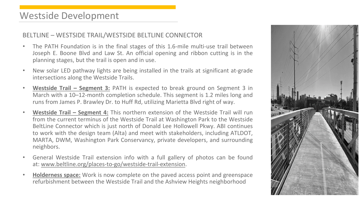### Westside Development

### BELTLINE – WESTSIDE TRAIL/WESTSIDE BELTLINE CONNECTOR

- The PATH Foundation is in the final stages of this 1.6-mile multi-use trail between Joseph E. Boone Blvd and Law St. An official opening and ribbon cutting is in the planning stages, but the trail is open and in use.
- New solar LED pathway lights are being installed in the trails at significant at-grade intersections along the Westside Trails.
- **Westside Trail – Segment 3:** PATH is expected to break ground on Segment 3 in March with a 10–12-month completion schedule. This segment is 1.2 miles long and runs from James P. Brawley Dr. to Huff Rd, utilizing Marietta Blvd right of way.
- **Westside Trail – Segment 4:** This northern extension of the Westside Trail will run from the current terminus of the Westside Trail at Washington Park to the Westside BeltLine Connector which is just north of Donald Lee Hollowell Pkwy. ABI continues to work with the design team (Alta) and meet with stakeholders, including ATLDOT, MARTA, DWM, Washington Park Conservancy, private developers, and surrounding neighbors.
- General Westside Trail extension info with a full gallery of photos can be found at: [www.beltline.org/places-to-go/westside-trail-extension](https://beltline.org/places-to-go/westside-trail-extension/).
- **Holderness space:** Work is now complete on the paved access point and greenspace refurbishment between the Westside Trail and the Ashview Heights neighborhood

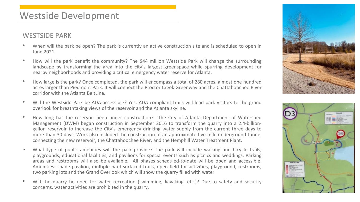### Westside Development

### WESTSIDE PARK

- When will the park be open? The park is currently an active construction site and is scheduled to open in June 2021.
- How will the park benefit the community? The \$44 million Westside Park will change the surrounding landscape by transforming the area into the city's largest greenspace while spurring development for nearby neighborhoods and providing a critical emergency water reserve for Atlanta.
- How large is the park? Once completed, the park will encompass a total of 280 acres, almost one hundred acres larger than Piedmont Park. It will connect the Proctor Creek Greenway and the Chattahoochee River corridor with the Atlanta BeltLine.
- Will the Westside Park be ADA-accessible? Yes, ADA compliant trails will lead park visitors to the grand overlook for breathtaking views of the reservoir and the Atlanta skyline.
- How long has the reservoir been under construction? The City of Atlanta Department of Watershed Management (DWM) began construction in September 2016 to transform the quarry into a 2.4-billiongallon reservoir to increase the City's emergency drinking water supply from the current three days to more than 30 days. Work also included the construction of an approximate five-mile underground tunnel connecting the new reservoir, the Chattahoochee River, and the Hemphill Water Treatment Plant.
- What type of public amenities will the park provide? The park will include walking and bicycle trails, playgrounds, educational facilities, and pavilions for special events such as picnics and weddings. Parking areas and restrooms will also be available. All phases scheduled-to-date will be open and accessible. Amenities: shade pavilion, multiple hard-surfaced trails, open field for activities, playground, restrooms, two parking lots and the Grand Overlook which will show the quarry filled with water
- Will the quarry be open for water recreation (swimming, kayaking, etc.)? Due to safety and security concerns, water activities are prohibited in the quarry.



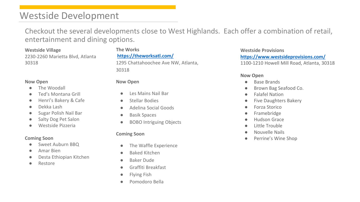# Westside Development

Checkout the several developments close to West Highlands. Each offer a combination of retail, entertainment and dining options.

**Westside Village** 2230-2260 Marietta Blvd, Atlanta 30318

#### **Now Open**

- The Woodall
- Ted's Montana Grill
- Henri's Bakery & Cafe
- Dekka Lash
- Sugar Polish Nail Bar
- Salty Dog Pet Salon
- Westside Pizzeria

#### **Coming Soon**

- Sweet Auburn BBQ
- Amar Bien
- Desta Ethiopian Kitchen
- Restore

### **The Works <https://theworksatl.com/>** 1295 Chattahoochee Ave NW, Atlanta, 30318

#### **Now Open**

- Les Mains Nail Bar
- **Stellar Bodies**
- Adelina Social Goods
- Basik Spaces
- BOBO Intriguing Objects

#### **Coming Soon**

- The Waffle Experience
- Baked Kitchen
- Baker Dude
- Graffiti Breakfast
- Flying Fish
- Pomodoro Bella

#### **Westside Provisions <https://www.westsideprovisions.com/>**

1100-1210 Howell Mill Road, Atlanta, 30318

#### **Now Open**

- **Base Brands**
- Brown Bag Seafood Co.
- Falafel Nation
- **Five Daughters Bakery**
- Forza Storico
- Framebridge
- **Hudson Grace**
- Little Trouble
- Nouvelle Nails
- Perrine's Wine Shop